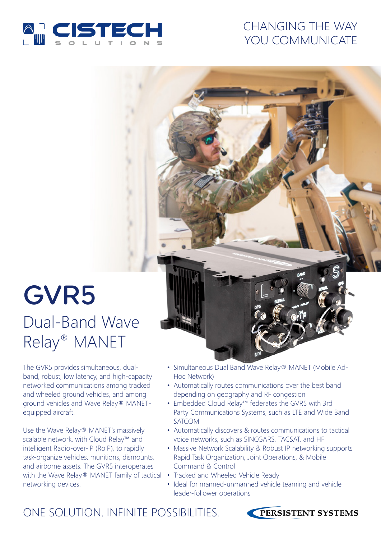

# CHANGING THE WAY YOU COMMUNICATE

# GVR5 Dual-Band Wave Relay® MANET

The GVR5 provides simultaneous, dualband, robust, low latency, and high-capacity networked communications among tracked and wheeled ground vehicles, and among ground vehicles and Wave Relay® MANETequipped aircraft.

Use the Wave Relay® MANET's massively scalable network, with Cloud Relay™ and intelligent Radio-over-IP (RoIP), to rapidly task-organize vehicles, munitions, dismounts, and airborne assets. The GVR5 interoperates with the Wave Relay® MANET family of tactical • Tracked and Wheeled Vehicle Ready networking devices.

- Simultaneous Dual Band Wave Relay® MANET (Mobile Ad-Hoc Network)
- Automatically routes communications over the best band depending on geography and RF congestion
- Embedded Cloud Relay™ federates the GVR5 with 3rd Party Communications Systems, such as LTE and Wide Band SATCOM
- Automatically discovers & routes communications to tactical voice networks, such as SINCGARS, TACSAT, and HF
- Massive Network Scalability & Robust IP networking supports Rapid Task Organization, Joint Operations, & Mobile Command & Control
- 
- Ideal for manned-unmanned vehicle teaming and vehicle leader-follower operations

ONE SOLUTION. INFINITE POSSIBILITIES.